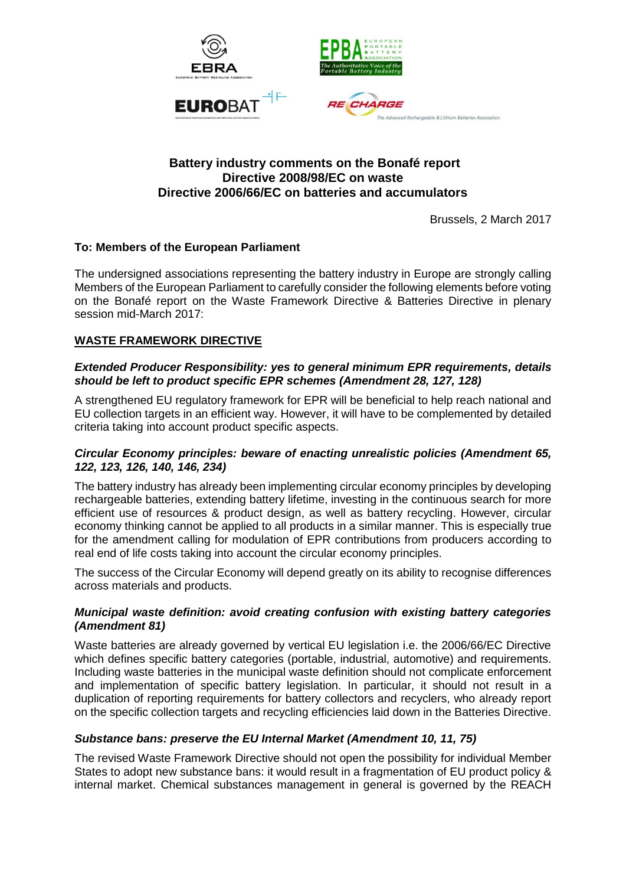

## **Battery industry comments on the Bonafé report Directive 2008/98/EC on waste Directive 2006/66/EC on batteries and accumulators**

Brussels, 2 March 2017

## **To: Members of the European Parliament**

The undersigned associations representing the battery industry in Europe are strongly calling Members of the European Parliament to carefully consider the following elements before voting on the Bonafé report on the Waste Framework Directive & Batteries Directive in plenary session mid-March 2017:

## **WASTE FRAMEWORK DIRECTIVE**

### *Extended Producer Responsibility: yes to general minimum EPR requirements, details should be left to product specific EPR schemes (Amendment 28, 127, 128)*

A strengthened EU regulatory framework for EPR will be beneficial to help reach national and EU collection targets in an efficient way. However, it will have to be complemented by detailed criteria taking into account product specific aspects.

### *Circular Economy principles: beware of enacting unrealistic policies (Amendment 65, 122, 123, 126, 140, 146, 234)*

The battery industry has already been implementing circular economy principles by developing rechargeable batteries, extending battery lifetime, investing in the continuous search for more efficient use of resources & product design, as well as battery recycling. However, circular economy thinking cannot be applied to all products in a similar manner. This is especially true for the amendment calling for modulation of EPR contributions from producers according to real end of life costs taking into account the circular economy principles.

The success of the Circular Economy will depend greatly on its ability to recognise differences across materials and products.

### *Municipal waste definition: avoid creating confusion with existing battery categories (Amendment 81)*

Waste batteries are already governed by vertical EU legislation i.e. the 2006/66/EC Directive which defines specific battery categories (portable, industrial, automotive) and requirements. Including waste batteries in the municipal waste definition should not complicate enforcement and implementation of specific battery legislation. In particular, it should not result in a duplication of reporting requirements for battery collectors and recyclers, who already report on the specific collection targets and recycling efficiencies laid down in the Batteries Directive.

### *Substance bans: preserve the EU Internal Market (Amendment 10, 11, 75)*

The revised Waste Framework Directive should not open the possibility for individual Member States to adopt new substance bans: it would result in a fragmentation of EU product policy & internal market. Chemical substances management in general is governed by the REACH